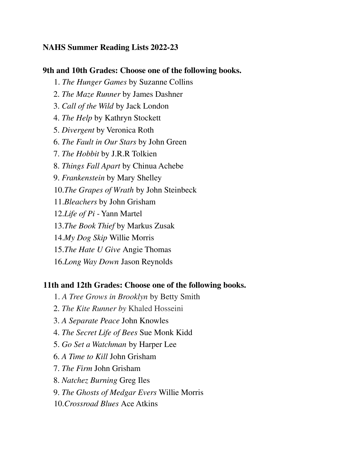# **NAHS Summer Reading Lists 2022-23**

#### **9th and 10th Grades: Choose one of the following books.**

- 1. *The Hunger Games* by Suzanne Collins
- 2. *The Maze Runner* by James Dashner
- 3. *Call of the Wild* by Jack London
- 4. *The Help* by Kathryn Stockett
- 5. *Divergent* by Veronica Roth
- 6. *The Fault in Our Stars* by John Green
- 7. *The Hobbit* by J.R.R Tolkien
- 8. *Things Fall Apart* by Chinua Achebe
- 9. *Frankenstein* by Mary Shelley
- 10.*The Grapes of Wrath* by John Steinbeck
- 11.*Bleachers* by John Grisham
- 12.*Life of Pi* Yann Martel
- 13.*The Book Thief* by Markus Zusak
- 14.*My Dog Skip* Willie Morris
- 15.*The Hate U Give* Angie Thomas
- 16.*Long Way Down* Jason Reynolds

#### **11th and 12th Grades: Choose one of the following books.**

- 1. *A Tree Grows in Brooklyn* by Betty Smith
- 2. *The Kite Runner by* Khaled Hosseini
- 3. *A Separate Peace* John Knowles
- 4. *The Secret Life of Bees* Sue Monk Kidd
- 5. *Go Set a Watchman* by Harper Lee
- 6. *A Time to Kill* John Grisham
- 7. *The Firm* John Grisham
- 8. *Natchez Burning* Greg Iles
- 9. *The Ghosts of Medgar Evers* Willie Morris
- 10.*Crossroad Blues* Ace Atkins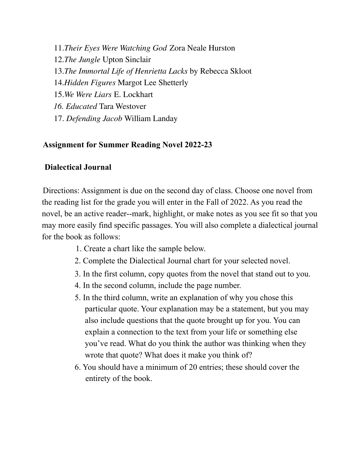11.*Their Eyes Were Watching God* Zora Neale Hurston 12.*The Jungle* Upton Sinclair 13.*The Immortal Life of Henrietta Lacks* by Rebecca Skloot 14.*Hidden Figures* Margot Lee Shetterly 15.*We Were Liars* E. Lockhart *16. Educated* Tara Westover 17. *Defending Jacob* William Landay

## **Assignment for Summer Reading Novel 2022-23**

## **Dialectical Journal**

Directions: Assignment is due on the second day of class. Choose one novel from the reading list for the grade you will enter in the Fall of 2022. As you read the novel, be an active reader--mark, highlight, or make notes as you see fit so that you may more easily find specific passages. You will also complete a dialectical journal for the book as follows:

- 1. Create a chart like the sample below.
- 2. Complete the Dialectical Journal chart for your selected novel.
- 3. In the first column, copy quotes from the novel that stand out to you.
- 4. In the second column, include the page number.
- 5. In the third column, write an explanation of why you chose this particular quote. Your explanation may be a statement, but you may also include questions that the quote brought up for you. You can explain a connection to the text from your life or something else you've read. What do you think the author was thinking when they wrote that quote? What does it make you think of?
- 6. You should have a minimum of 20 entries; these should cover the entirety of the book.